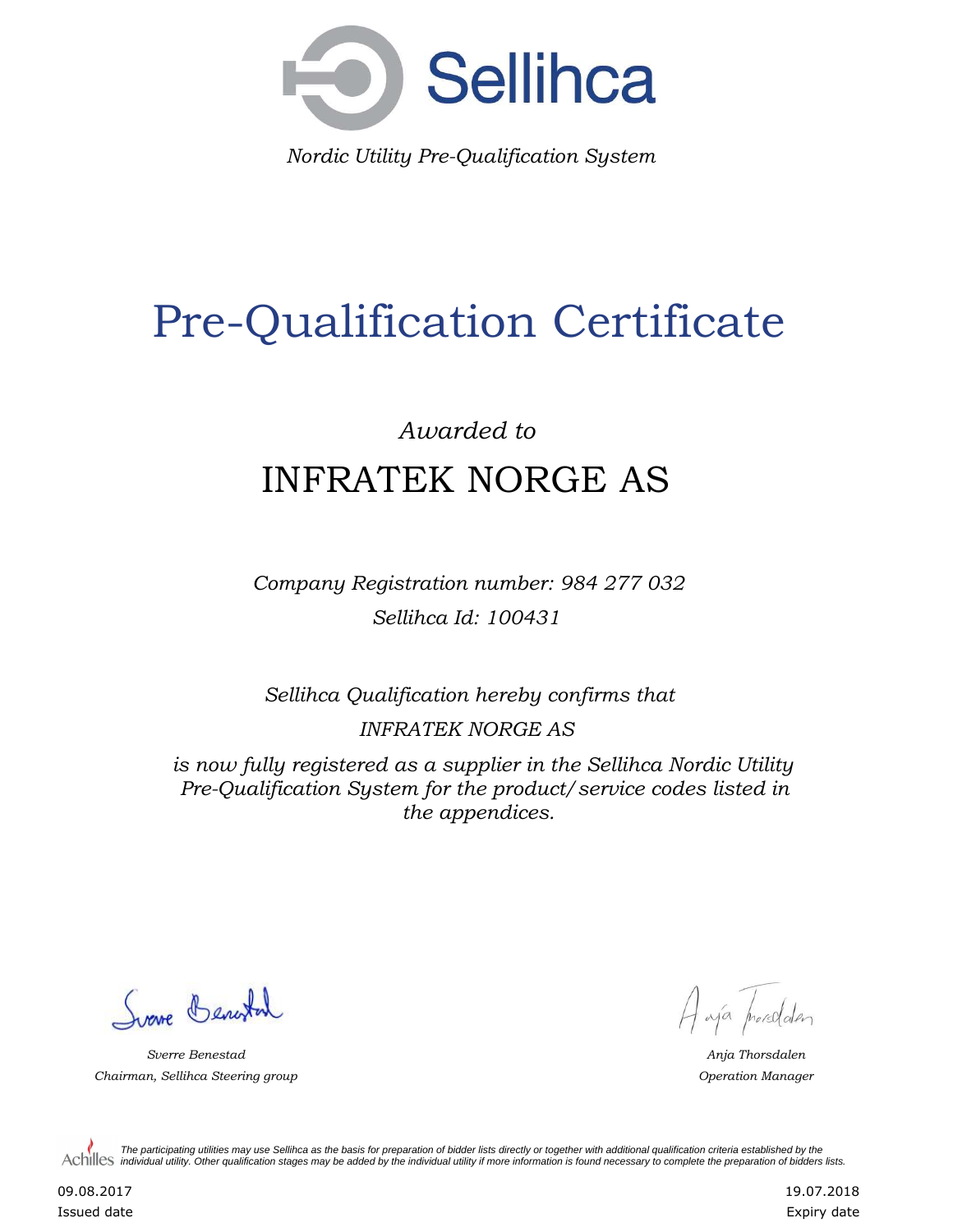

*Nordic Utility Pre-Qualification System*

# Pre-Qualification Certificate

## *Awarded to* INFRATEK NORGE AS

*Company Registration number: 984 277 032 Sellihca Id: 100431*

*Sellihca Qualification hereby confirms that*

*INFRATEK NORGE AS*

*is now fully registered as a supplier in the Sellihca Nordic Utility Pre-Qualification System for the product/service codes listed in the appendices.*

Surve Benester

*Sverre Benestad Anja Thorsdalen Chairman, Sellihca Steering group Operation Manager*

A výa proredden

*The participating utilities may use Sellihca as the basis for preparation of bidder lists directly or together with additional qualification criteria established by the*  Achilles *individual utility. Other qualification stages may be added by the individual utility if more information is found necessary to complete the preparation of bidders lists.* 

09.08.2017 Issued date 19.07.2018 Expiry date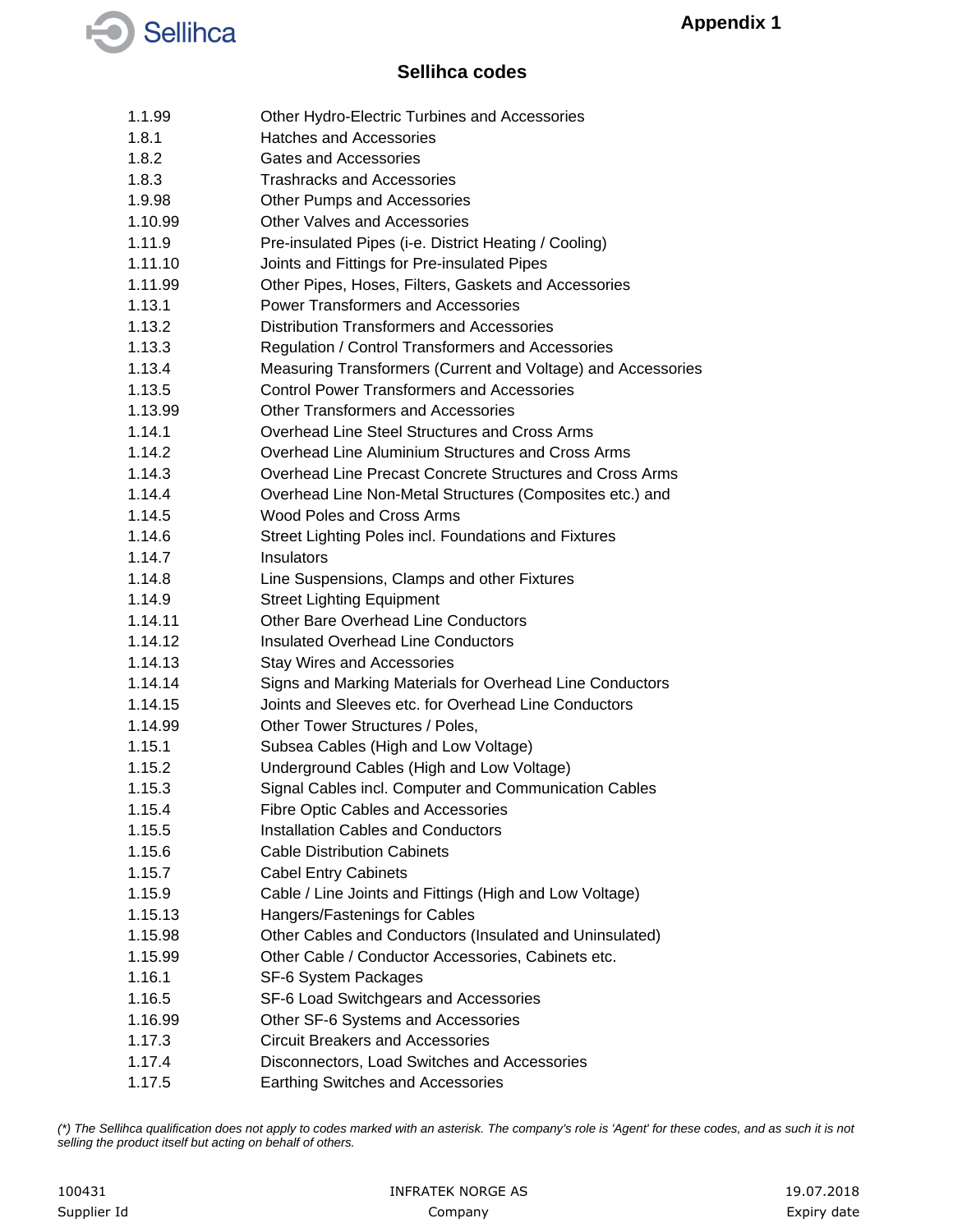

#### **Sellihca codes**

| 1.1.99  | Other Hydro-Electric Turbines and Accessories                |
|---------|--------------------------------------------------------------|
| 1.8.1   | <b>Hatches and Accessories</b>                               |
| 1.8.2   | Gates and Accessories                                        |
| 1.8.3   | <b>Trashracks and Accessories</b>                            |
| 1.9.98  | Other Pumps and Accessories                                  |
| 1.10.99 | <b>Other Valves and Accessories</b>                          |
| 1.11.9  | Pre-insulated Pipes (i-e. District Heating / Cooling)        |
| 1.11.10 | Joints and Fittings for Pre-insulated Pipes                  |
| 1.11.99 | Other Pipes, Hoses, Filters, Gaskets and Accessories         |
| 1.13.1  | <b>Power Transformers and Accessories</b>                    |
| 1.13.2  | Distribution Transformers and Accessories                    |
| 1.13.3  | Regulation / Control Transformers and Accessories            |
| 1.13.4  | Measuring Transformers (Current and Voltage) and Accessories |
| 1.13.5  | <b>Control Power Transformers and Accessories</b>            |
| 1.13.99 | Other Transformers and Accessories                           |
| 1.14.1  | Overhead Line Steel Structures and Cross Arms                |
| 1.14.2  | Overhead Line Aluminium Structures and Cross Arms            |
| 1.14.3  | Overhead Line Precast Concrete Structures and Cross Arms     |
| 1.14.4  | Overhead Line Non-Metal Structures (Composites etc.) and     |
| 1.14.5  | Wood Poles and Cross Arms                                    |
| 1.14.6  | Street Lighting Poles incl. Foundations and Fixtures         |
| 1.14.7  | Insulators                                                   |
| 1.14.8  | Line Suspensions, Clamps and other Fixtures                  |
| 1.14.9  | <b>Street Lighting Equipment</b>                             |
| 1.14.11 | <b>Other Bare Overhead Line Conductors</b>                   |
| 1.14.12 | <b>Insulated Overhead Line Conductors</b>                    |
| 1.14.13 | <b>Stay Wires and Accessories</b>                            |
| 1.14.14 | Signs and Marking Materials for Overhead Line Conductors     |
| 1.14.15 | Joints and Sleeves etc. for Overhead Line Conductors         |
| 1.14.99 | Other Tower Structures / Poles,                              |
| 1.15.1  | Subsea Cables (High and Low Voltage)                         |
| 1.15.2  | Underground Cables (High and Low Voltage)                    |
| 1.15.3  | Signal Cables incl. Computer and Communication Cables        |
| 1.15.4  | <b>Fibre Optic Cables and Accessories</b>                    |
| 1.15.5  | Installation Cables and Conductors                           |
| 1.15.6  | <b>Cable Distribution Cabinets</b>                           |
| 1.15.7  | <b>Cabel Entry Cabinets</b>                                  |
| 1.15.9  | Cable / Line Joints and Fittings (High and Low Voltage)      |
| 1.15.13 | Hangers/Fastenings for Cables                                |
| 1.15.98 | Other Cables and Conductors (Insulated and Uninsulated)      |
| 1.15.99 | Other Cable / Conductor Accessories, Cabinets etc.           |
| 1.16.1  | SF-6 System Packages                                         |
| 1.16.5  | SF-6 Load Switchgears and Accessories                        |
| 1.16.99 | Other SF-6 Systems and Accessories                           |
| 1.17.3  | <b>Circuit Breakers and Accessories</b>                      |
| 1.17.4  | Disconnectors, Load Switches and Accessories                 |
| 1.17.5  | <b>Earthing Switches and Accessories</b>                     |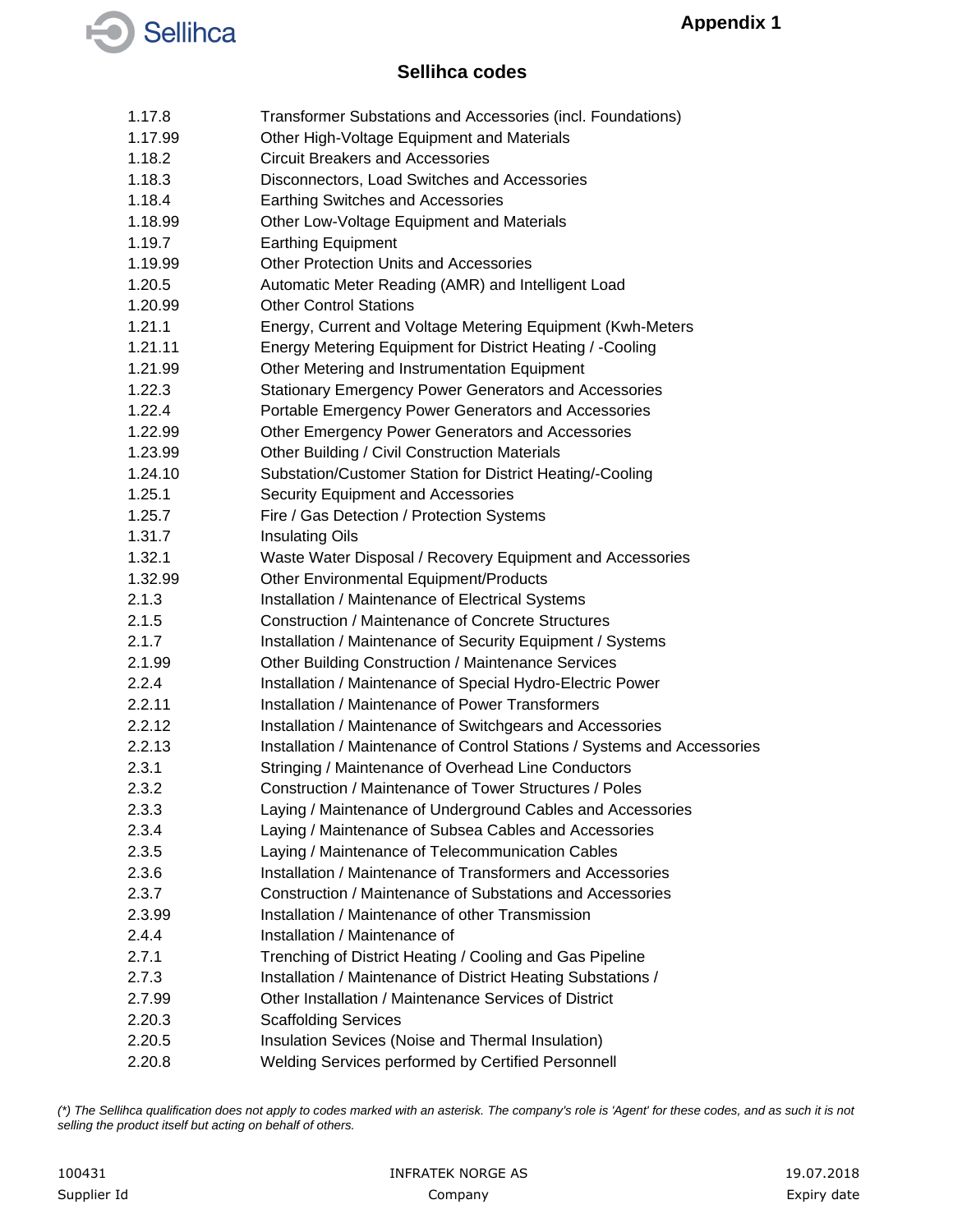#### **Sellihca codes**

| 1.17.8  | Transformer Substations and Accessories (incl. Foundations)              |
|---------|--------------------------------------------------------------------------|
| 1.17.99 | Other High-Voltage Equipment and Materials                               |
| 1.18.2  | <b>Circuit Breakers and Accessories</b>                                  |
| 1.18.3  | Disconnectors, Load Switches and Accessories                             |
| 1.18.4  | Earthing Switches and Accessories                                        |
| 1.18.99 | Other Low-Voltage Equipment and Materials                                |
| 1.19.7  | <b>Earthing Equipment</b>                                                |
| 1.19.99 | <b>Other Protection Units and Accessories</b>                            |
| 1.20.5  | Automatic Meter Reading (AMR) and Intelligent Load                       |
| 1.20.99 | <b>Other Control Stations</b>                                            |
| 1.21.1  | Energy, Current and Voltage Metering Equipment (Kwh-Meters               |
| 1.21.11 | Energy Metering Equipment for District Heating / -Cooling                |
| 1.21.99 | Other Metering and Instrumentation Equipment                             |
| 1.22.3  | <b>Stationary Emergency Power Generators and Accessories</b>             |
| 1.22.4  | Portable Emergency Power Generators and Accessories                      |
| 1.22.99 | Other Emergency Power Generators and Accessories                         |
| 1.23.99 | Other Building / Civil Construction Materials                            |
| 1.24.10 | Substation/Customer Station for District Heating/-Cooling                |
| 1.25.1  | Security Equipment and Accessories                                       |
| 1.25.7  | Fire / Gas Detection / Protection Systems                                |
| 1.31.7  | <b>Insulating Oils</b>                                                   |
| 1.32.1  | Waste Water Disposal / Recovery Equipment and Accessories                |
| 1.32.99 | Other Environmental Equipment/Products                                   |
| 2.1.3   | Installation / Maintenance of Electrical Systems                         |
| 2.1.5   | Construction / Maintenance of Concrete Structures                        |
| 2.1.7   | Installation / Maintenance of Security Equipment / Systems               |
| 2.1.99  | Other Building Construction / Maintenance Services                       |
| 2.2.4   | Installation / Maintenance of Special Hydro-Electric Power               |
| 2.2.11  | Installation / Maintenance of Power Transformers                         |
| 2.2.12  | Installation / Maintenance of Switchgears and Accessories                |
| 2.2.13  | Installation / Maintenance of Control Stations / Systems and Accessories |
| 2.3.1   | Stringing / Maintenance of Overhead Line Conductors                      |
| 2.3.2   | Construction / Maintenance of Tower Structures / Poles                   |
| 2.3.3   | Laying / Maintenance of Underground Cables and Accessories               |
| 2.3.4   | Laying / Maintenance of Subsea Cables and Accessories                    |
| 2.3.5   | Laying / Maintenance of Telecommunication Cables                         |
| 2.3.6   | Installation / Maintenance of Transformers and Accessories               |
| 2.3.7   | Construction / Maintenance of Substations and Accessories                |
| 2.3.99  | Installation / Maintenance of other Transmission                         |
| 2.4.4   | Installation / Maintenance of                                            |
| 2.7.1   | Trenching of District Heating / Cooling and Gas Pipeline                 |
| 2.7.3   | Installation / Maintenance of District Heating Substations /             |
| 2.7.99  | Other Installation / Maintenance Services of District                    |
| 2.20.3  | <b>Scaffolding Services</b>                                              |
| 2.20.5  | Insulation Sevices (Noise and Thermal Insulation)                        |
| 2.20.8  | Welding Services performed by Certified Personnell                       |
|         |                                                                          |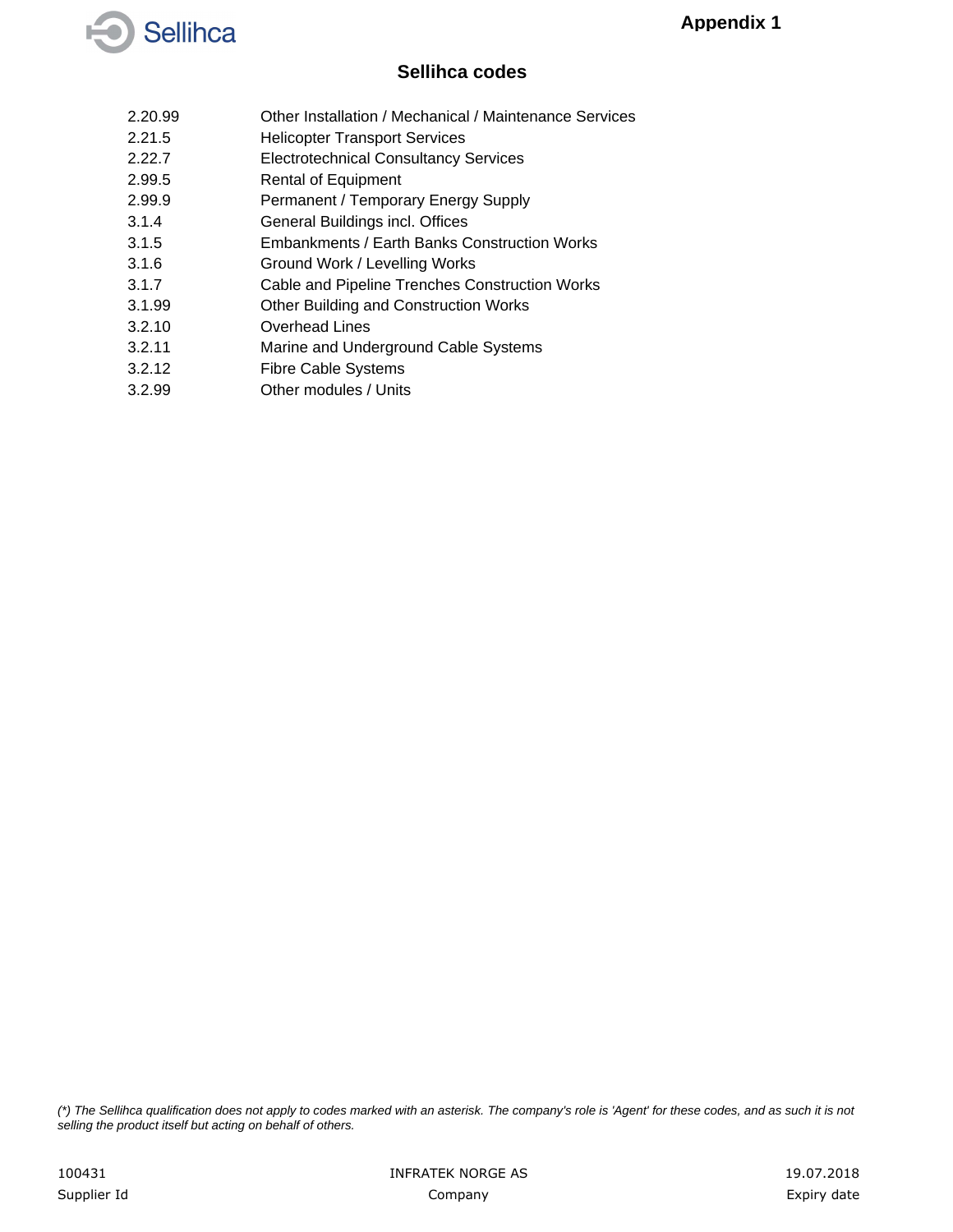

#### **Sellihca codes**

- 2.20.99 Other Installation / Mechanical / Maintenance Services
- 2.21.5 Helicopter Transport Services
- 2.22.7 Electrotechnical Consultancy Services
- 2.99.5 Rental of Equipment
- 2.99.9 Permanent / Temporary Energy Supply
- 3.1.4 General Buildings incl. Offices
- 3.1.5 Embankments / Earth Banks Construction Works
- 3.1.6 Ground Work / Levelling Works
- 3.1.7 Cable and Pipeline Trenches Construction Works
- 3.1.99 Other Building and Construction Works
- 3.2.10 Overhead Lines
- 3.2.11 Marine and Underground Cable Systems
- 3.2.12 Fibre Cable Systems
- 3.2.99 Other modules / Units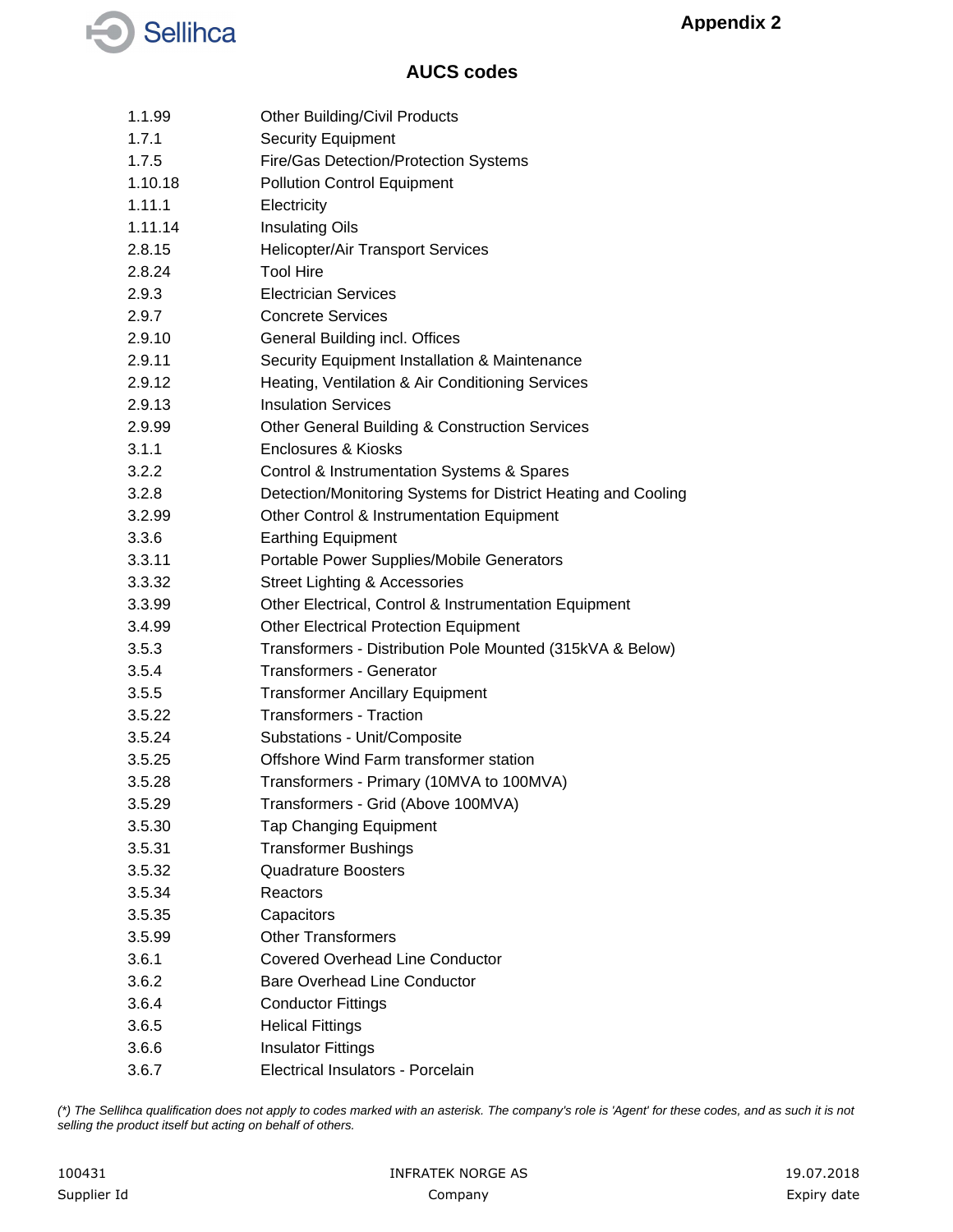

| 1.1.99  | <b>Other Building/Civil Products</b>                          |
|---------|---------------------------------------------------------------|
| 1.7.1   | <b>Security Equipment</b>                                     |
| 1.7.5   | Fire/Gas Detection/Protection Systems                         |
| 1.10.18 | <b>Pollution Control Equipment</b>                            |
| 1.11.1  | Electricity                                                   |
| 1.11.14 | <b>Insulating Oils</b>                                        |
| 2.8.15  | <b>Helicopter/Air Transport Services</b>                      |
| 2.8.24  | <b>Tool Hire</b>                                              |
| 2.9.3   | <b>Electrician Services</b>                                   |
| 2.9.7   | <b>Concrete Services</b>                                      |
| 2.9.10  | General Building incl. Offices                                |
| 2.9.11  | Security Equipment Installation & Maintenance                 |
| 2.9.12  | Heating, Ventilation & Air Conditioning Services              |
| 2.9.13  | <b>Insulation Services</b>                                    |
| 2.9.99  | <b>Other General Building &amp; Construction Services</b>     |
| 3.1.1   | <b>Enclosures &amp; Kiosks</b>                                |
| 3.2.2   | Control & Instrumentation Systems & Spares                    |
| 3.2.8   | Detection/Monitoring Systems for District Heating and Cooling |
| 3.2.99  | Other Control & Instrumentation Equipment                     |
| 3.3.6   | <b>Earthing Equipment</b>                                     |
| 3.3.11  | Portable Power Supplies/Mobile Generators                     |
| 3.3.32  | <b>Street Lighting &amp; Accessories</b>                      |
| 3.3.99  | Other Electrical, Control & Instrumentation Equipment         |
| 3.4.99  | <b>Other Electrical Protection Equipment</b>                  |
| 3.5.3   | Transformers - Distribution Pole Mounted (315kVA & Below)     |
| 3.5.4   | <b>Transformers - Generator</b>                               |
| 3.5.5   | <b>Transformer Ancillary Equipment</b>                        |
| 3.5.22  | <b>Transformers - Traction</b>                                |
| 3.5.24  | Substations - Unit/Composite                                  |
| 3.5.25  | Offshore Wind Farm transformer station                        |
| 3.5.28  | Transformers - Primary (10MVA to 100MVA)                      |
| 3.5.29  | Transformers - Grid (Above 100MVA)                            |
| 3.5.30  | <b>Tap Changing Equipment</b>                                 |
| 3.5.31  | <b>Transformer Bushings</b>                                   |
| 3.5.32  | <b>Quadrature Boosters</b>                                    |
| 3.5.34  | Reactors                                                      |
| 3.5.35  | Capacitors                                                    |
| 3.5.99  | <b>Other Transformers</b>                                     |
| 3.6.1   | <b>Covered Overhead Line Conductor</b>                        |
| 3.6.2   | <b>Bare Overhead Line Conductor</b>                           |
| 3.6.4   | <b>Conductor Fittings</b>                                     |
| 3.6.5   | <b>Helical Fittings</b>                                       |
| 3.6.6   | <b>Insulator Fittings</b>                                     |
| 3.6.7   | Electrical Insulators - Porcelain                             |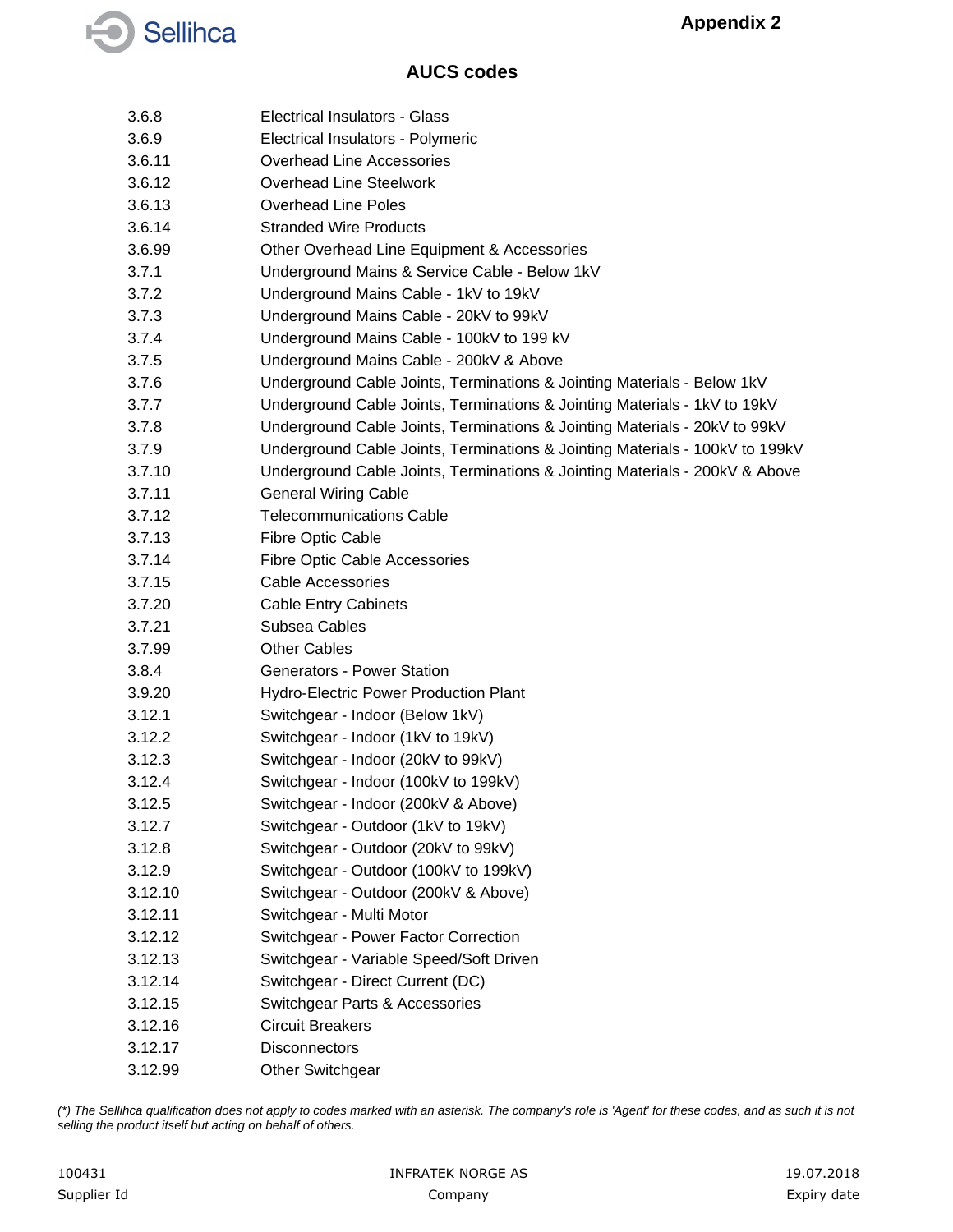

| 3.6.8   | Electrical Insulators - Glass                                                |
|---------|------------------------------------------------------------------------------|
| 3.6.9   | Electrical Insulators - Polymeric                                            |
| 3.6.11  | <b>Overhead Line Accessories</b>                                             |
| 3.6.12  | <b>Overhead Line Steelwork</b>                                               |
| 3.6.13  | <b>Overhead Line Poles</b>                                                   |
| 3.6.14  | <b>Stranded Wire Products</b>                                                |
| 3.6.99  | Other Overhead Line Equipment & Accessories                                  |
| 3.7.1   | Underground Mains & Service Cable - Below 1kV                                |
| 3.7.2   | Underground Mains Cable - 1kV to 19kV                                        |
| 3.7.3   | Underground Mains Cable - 20kV to 99kV                                       |
| 3.7.4   | Underground Mains Cable - 100kV to 199 kV                                    |
| 3.7.5   | Underground Mains Cable - 200kV & Above                                      |
| 3.7.6   | Underground Cable Joints, Terminations & Jointing Materials - Below 1kV      |
| 3.7.7   | Underground Cable Joints, Terminations & Jointing Materials - 1kV to 19kV    |
| 3.7.8   | Underground Cable Joints, Terminations & Jointing Materials - 20kV to 99kV   |
| 3.7.9   | Underground Cable Joints, Terminations & Jointing Materials - 100kV to 199kV |
| 3.7.10  | Underground Cable Joints, Terminations & Jointing Materials - 200kV & Above  |
| 3.7.11  | <b>General Wiring Cable</b>                                                  |
| 3.7.12  | <b>Telecommunications Cable</b>                                              |
| 3.7.13  | Fibre Optic Cable                                                            |
| 3.7.14  | Fibre Optic Cable Accessories                                                |
| 3.7.15  | <b>Cable Accessories</b>                                                     |
| 3.7.20  | <b>Cable Entry Cabinets</b>                                                  |
| 3.7.21  | Subsea Cables                                                                |
| 3.7.99  | <b>Other Cables</b>                                                          |
| 3.8.4   | <b>Generators - Power Station</b>                                            |
| 3.9.20  | <b>Hydro-Electric Power Production Plant</b>                                 |
| 3.12.1  | Switchgear - Indoor (Below 1kV)                                              |
| 3.12.2  | Switchgear - Indoor (1kV to 19kV)                                            |
| 3.12.3  | Switchgear - Indoor (20kV to 99kV)                                           |
| 3.12.4  | Switchgear - Indoor (100kV to 199kV)                                         |
| 3.12.5  | Switchgear - Indoor (200kV & Above)                                          |
| 3.12.7  | Switchgear - Outdoor (1kV to 19kV)                                           |
| 3.12.8  | Switchgear - Outdoor (20kV to 99kV)                                          |
| 3.12.9  | Switchgear - Outdoor (100kV to 199kV)                                        |
| 3.12.10 | Switchgear - Outdoor (200kV & Above)                                         |
| 3.12.11 | Switchgear - Multi Motor                                                     |
| 3.12.12 | Switchgear - Power Factor Correction                                         |
| 3.12.13 | Switchgear - Variable Speed/Soft Driven                                      |
| 3.12.14 | Switchgear - Direct Current (DC)                                             |
| 3.12.15 | Switchgear Parts & Accessories                                               |
| 3.12.16 | <b>Circuit Breakers</b>                                                      |
| 3.12.17 | <b>Disconnectors</b>                                                         |
| 3.12.99 | <b>Other Switchgear</b>                                                      |
|         |                                                                              |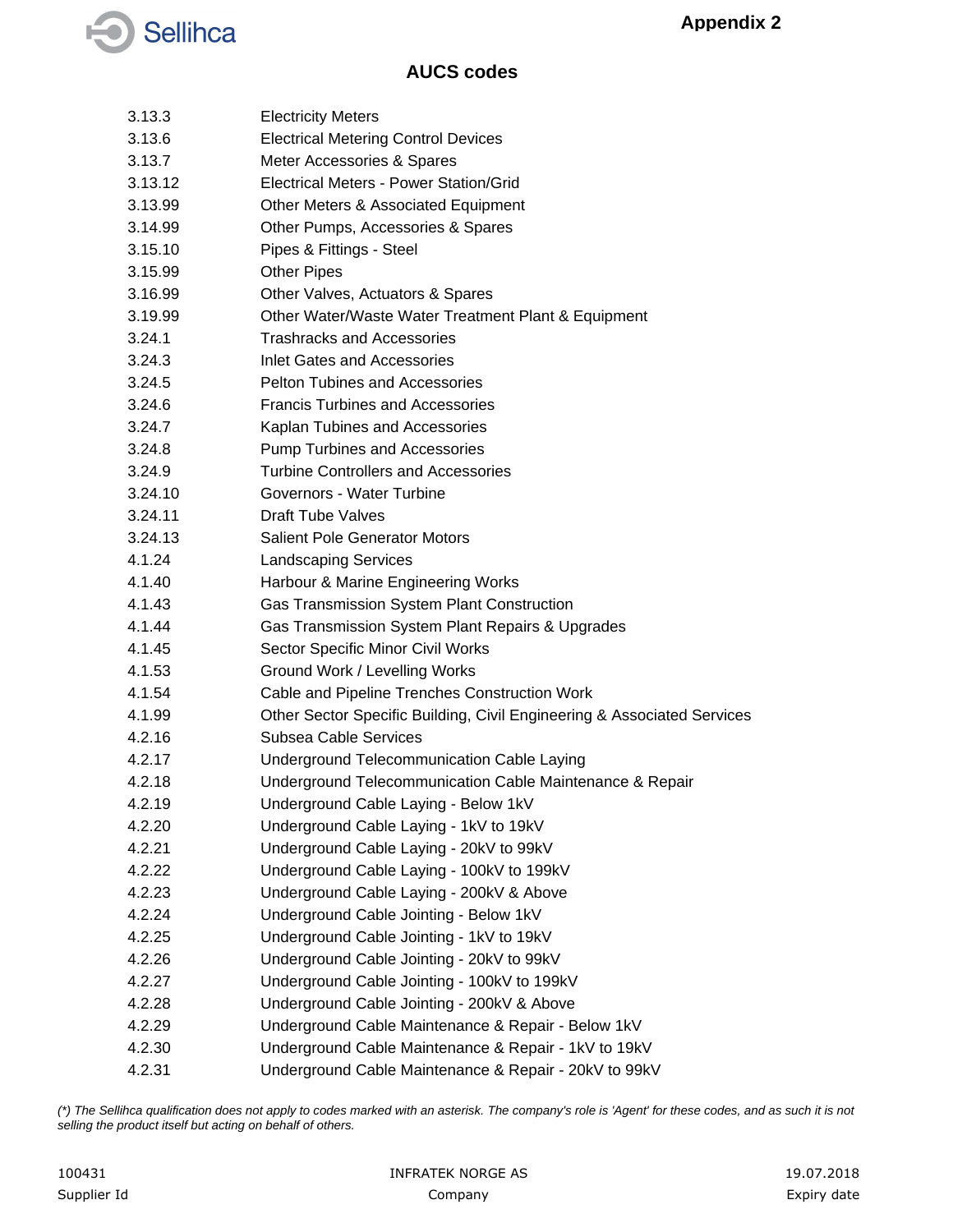

| 3.13.3  | <b>Electricity Meters</b>                                               |
|---------|-------------------------------------------------------------------------|
| 3.13.6  | <b>Electrical Metering Control Devices</b>                              |
| 3.13.7  | Meter Accessories & Spares                                              |
| 3.13.12 | Electrical Meters - Power Station/Grid                                  |
| 3.13.99 | Other Meters & Associated Equipment                                     |
| 3.14.99 | Other Pumps, Accessories & Spares                                       |
| 3.15.10 | Pipes & Fittings - Steel                                                |
| 3.15.99 | <b>Other Pipes</b>                                                      |
| 3.16.99 | Other Valves, Actuators & Spares                                        |
| 3.19.99 | Other Water/Waste Water Treatment Plant & Equipment                     |
| 3.24.1  | <b>Trashracks and Accessories</b>                                       |
| 3.24.3  | Inlet Gates and Accessories                                             |
| 3.24.5  | <b>Pelton Tubines and Accessories</b>                                   |
| 3.24.6  | <b>Francis Turbines and Accessories</b>                                 |
| 3.24.7  | Kaplan Tubines and Accessories                                          |
| 3.24.8  | <b>Pump Turbines and Accessories</b>                                    |
| 3.24.9  | <b>Turbine Controllers and Accessories</b>                              |
| 3.24.10 | Governors - Water Turbine                                               |
| 3.24.11 | <b>Draft Tube Valves</b>                                                |
| 3.24.13 | <b>Salient Pole Generator Motors</b>                                    |
| 4.1.24  | <b>Landscaping Services</b>                                             |
| 4.1.40  | Harbour & Marine Engineering Works                                      |
| 4.1.43  | Gas Transmission System Plant Construction                              |
| 4.1.44  | Gas Transmission System Plant Repairs & Upgrades                        |
| 4.1.45  | Sector Specific Minor Civil Works                                       |
| 4.1.53  | Ground Work / Levelling Works                                           |
| 4.1.54  | Cable and Pipeline Trenches Construction Work                           |
| 4.1.99  | Other Sector Specific Building, Civil Engineering & Associated Services |
| 4.2.16  | Subsea Cable Services                                                   |
| 4.2.17  | Underground Telecommunication Cable Laying                              |
| 4.2.18  | Underground Telecommunication Cable Maintenance & Repair                |
| 4.2.19  | Underground Cable Laying - Below 1kV                                    |
| 4.2.20  | Underground Cable Laying - 1kV to 19kV                                  |
| 4.2.21  | Underground Cable Laying - 20kV to 99kV                                 |
| 4.2.22  | Underground Cable Laying - 100kV to 199kV                               |
| 4.2.23  | Underground Cable Laying - 200kV & Above                                |
| 4.2.24  | Underground Cable Jointing - Below 1kV                                  |
| 4.2.25  | Underground Cable Jointing - 1kV to 19kV                                |
| 4.2.26  | Underground Cable Jointing - 20kV to 99kV                               |
| 4.2.27  | Underground Cable Jointing - 100kV to 199kV                             |
| 4.2.28  | Underground Cable Jointing - 200kV & Above                              |
| 4.2.29  | Underground Cable Maintenance & Repair - Below 1kV                      |
| 4.2.30  | Underground Cable Maintenance & Repair - 1kV to 19kV                    |
| 4.2.31  | Underground Cable Maintenance & Repair - 20kV to 99kV                   |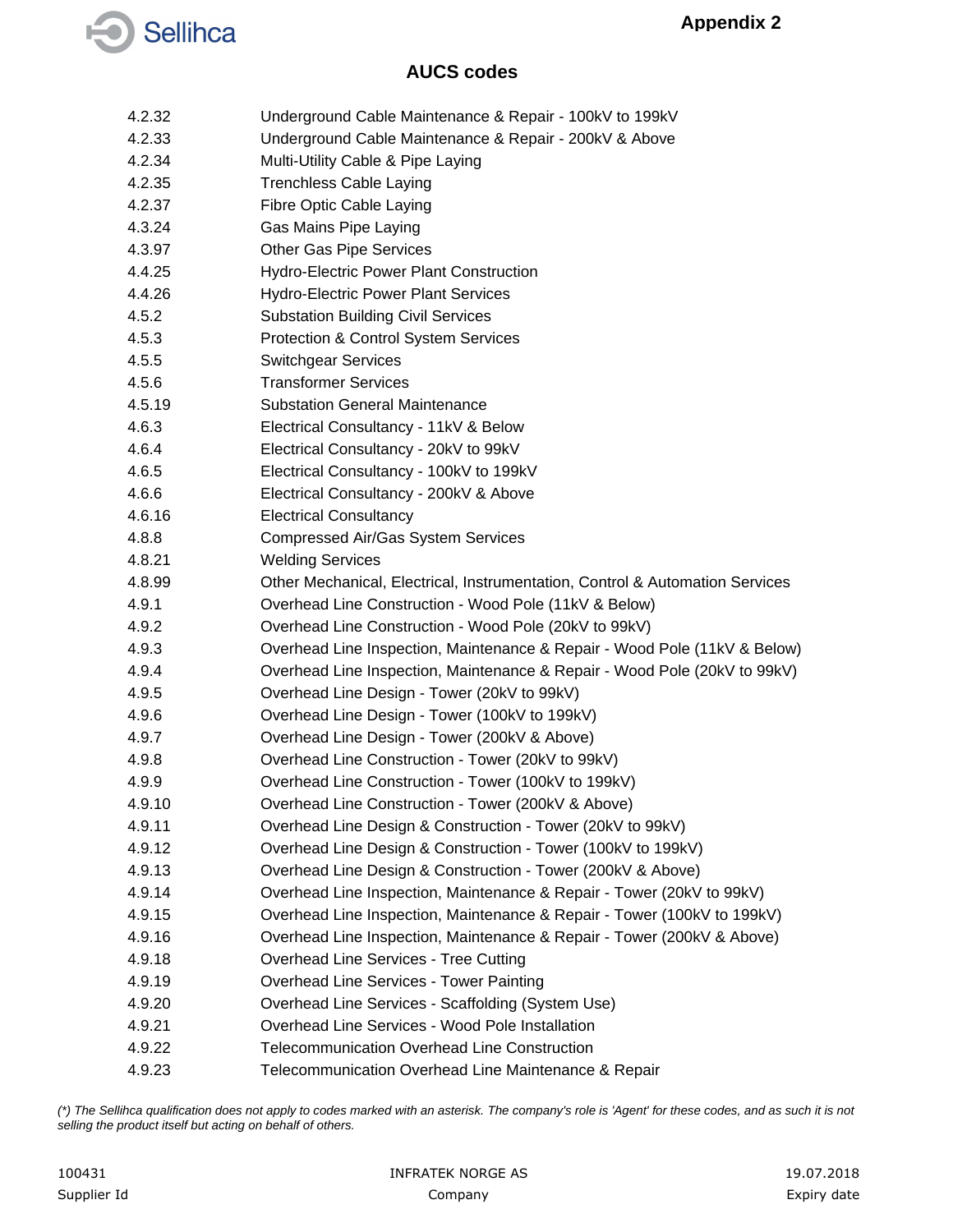

- 4.2.32 Underground Cable Maintenance & Repair 100kV to 199kV
- 4.2.33 Underground Cable Maintenance & Repair 200kV & Above
- 4.2.34 Multi-Utility Cable & Pipe Laying
- 4.2.35 Trenchless Cable Laying
- 4.2.37 Fibre Optic Cable Laying
- 4.3.24 Gas Mains Pipe Laying
- 4.3.97 Other Gas Pipe Services
- 4.4.25 Hydro-Electric Power Plant Construction
- 4.4.26 Hydro-Electric Power Plant Services
- 4.5.2 Substation Building Civil Services
- 4.5.3 Protection & Control System Services
- 4.5.5 Switchgear Services
- 4.5.6 Transformer Services
- 4.5.19 Substation General Maintenance
- 4.6.3 Electrical Consultancy 11kV & Below
- 4.6.4 Electrical Consultancy 20kV to 99kV
- 4.6.5 Electrical Consultancy 100kV to 199kV
- 4.6.6 Electrical Consultancy 200kV & Above
- 4.6.16 Electrical Consultancy
- 4.8.8 Compressed Air/Gas System Services
- 4.8.21 Welding Services
- 4.8.99 Other Mechanical, Electrical, Instrumentation, Control & Automation Services
- 4.9.1 Overhead Line Construction Wood Pole (11kV & Below)
- 4.9.2 Overhead Line Construction Wood Pole (20kV to 99kV)
- 4.9.3 Overhead Line Inspection, Maintenance & Repair Wood Pole (11kV & Below)
- 4.9.4 Overhead Line Inspection, Maintenance & Repair Wood Pole (20kV to 99kV)
- 4.9.5 Overhead Line Design Tower (20kV to 99kV)
- 4.9.6 Overhead Line Design Tower (100kV to 199kV)
- 4.9.7 Overhead Line Design Tower (200kV & Above)
- 4.9.8 Overhead Line Construction Tower (20kV to 99kV)
- 4.9.9 Overhead Line Construction Tower (100kV to 199kV)
- 4.9.10 Overhead Line Construction Tower (200kV & Above)
- 4.9.11 Overhead Line Design & Construction Tower (20kV to 99kV)
- 4.9.12 Overhead Line Design & Construction Tower (100kV to 199kV)
- 4.9.13 Overhead Line Design & Construction Tower (200kV & Above)
- 4.9.14 Overhead Line Inspection, Maintenance & Repair Tower (20kV to 99kV)
- 4.9.15 Overhead Line Inspection, Maintenance & Repair Tower (100kV to 199kV)
- 4.9.16 Overhead Line Inspection, Maintenance & Repair Tower (200kV & Above)
- 4.9.18 Overhead Line Services Tree Cutting
- 4.9.19 Overhead Line Services Tower Painting
- 4.9.20 Overhead Line Services Scaffolding (System Use)
- 4.9.21 Overhead Line Services Wood Pole Installation
- 4.9.22 Telecommunication Overhead Line Construction
- 4.9.23 Telecommunication Overhead Line Maintenance & Repair